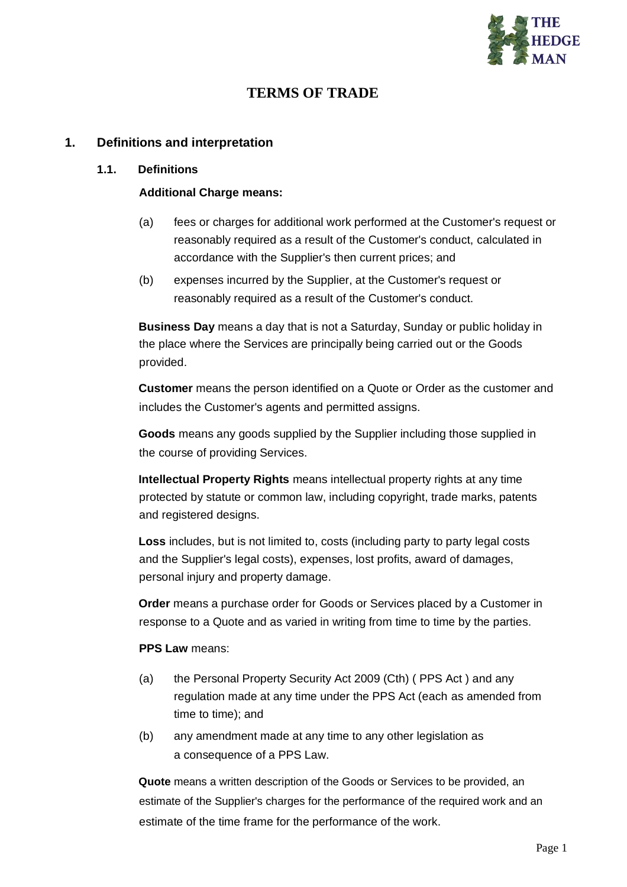

# **TERMS OF TRADE**

#### **1. Definitions and interpretation**

#### **1.1. Definitions**

#### **Additional Charge means:**

- (a) fees or charges for additional work performed at the Customer's request or reasonably required as a result of the Customer's conduct, calculated in accordance with the Supplier's then current prices; and
- (b) expenses incurred by the Supplier, at the Customer's request or reasonably required as a result of the Customer's conduct.

**Business Day** means a day that is not a Saturday, Sunday or public holiday in the place where the Services are principally being carried out or the Goods provided.

**Customer** means the person identified on a Quote or Order as the customer and includes the Customer's agents and permitted assigns.

**Goods** means any goods supplied by the Supplier including those supplied in the course of providing Services.

**Intellectual Property Rights** means intellectual property rights at any time protected by statute or common law, including copyright, trade marks, patents and registered designs.

**Loss** includes, but is not limited to, costs (including party to party legal costs and the Supplier's legal costs), expenses, lost profits, award of damages, personal injury and property damage.

**Order** means a purchase order for Goods or Services placed by a Customer in response to a Quote and as varied in writing from time to time by the parties.

#### **PPS Law** means:

- (a) the Personal Property Security Act 2009 (Cth) ( PPS Act ) and any regulation made at any time under the PPS Act (each as amended from time to time); and
- (b) any amendment made at any time to any other legislation as a consequence of a PPS Law.

**Quote** means a written description of the Goods or Services to be provided, an estimate of the Supplier's charges for the performance of the required work and an estimate of the time frame for the performance of the work.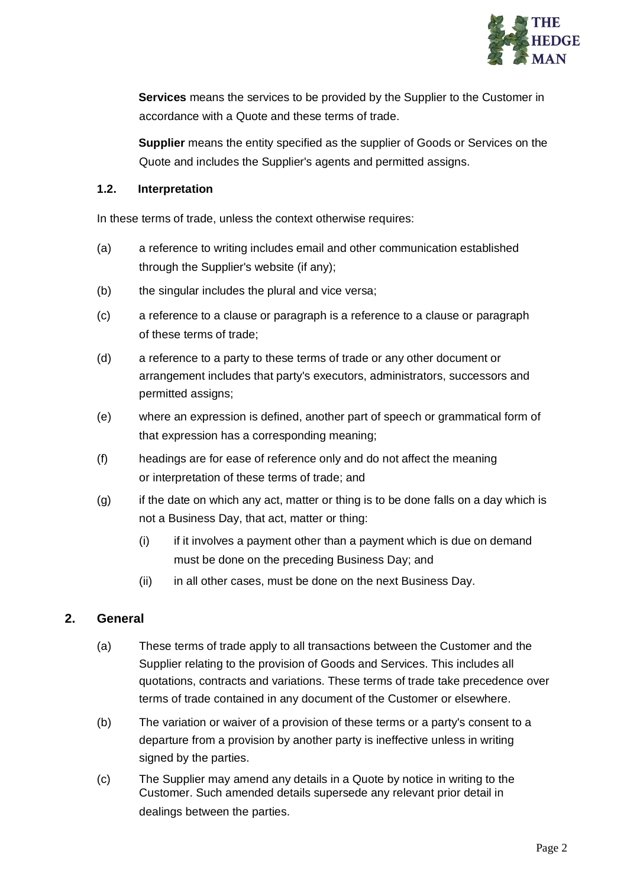

**Services** means the services to be provided by the Supplier to the Customer in accordance with a Quote and these terms of trade.

**Supplier** means the entity specified as the supplier of Goods or Services on the Quote and includes the Supplier's agents and permitted assigns.

#### **1.2. Interpretation**

In these terms of trade, unless the context otherwise requires:

- (a) a reference to writing includes email and other communication established through the Supplier's website (if any);
- (b) the singular includes the plural and vice versa;
- (c) a reference to a clause or paragraph is a reference to a clause or paragraph of these terms of trade;
- (d) a reference to a party to these terms of trade or any other document or arrangement includes that party's executors, administrators, successors and permitted assigns;
- (e) where an expression is defined, another part of speech or grammatical form of that expression has a corresponding meaning;
- (f) headings are for ease of reference only and do not affect the meaning or interpretation of these terms of trade; and
- (g) if the date on which any act, matter or thing is to be done falls on a day which is not a Business Day, that act, matter or thing:
	- (i) if it involves a payment other than a payment which is due on demand must be done on the preceding Business Day; and
	- (ii) in all other cases, must be done on the next Business Day.

## **2. General**

- (a) These terms of trade apply to all transactions between the Customer and the Supplier relating to the provision of Goods and Services. This includes all quotations, contracts and variations. These terms of trade take precedence over terms of trade contained in any document of the Customer or elsewhere.
- (b) The variation or waiver of a provision of these terms or a party's consent to a departure from a provision by another party is ineffective unless in writing signed by the parties.
- (c) The Supplier may amend any details in a Quote by notice in writing to the Customer. Such amended details supersede any relevant prior detail in dealings between the parties.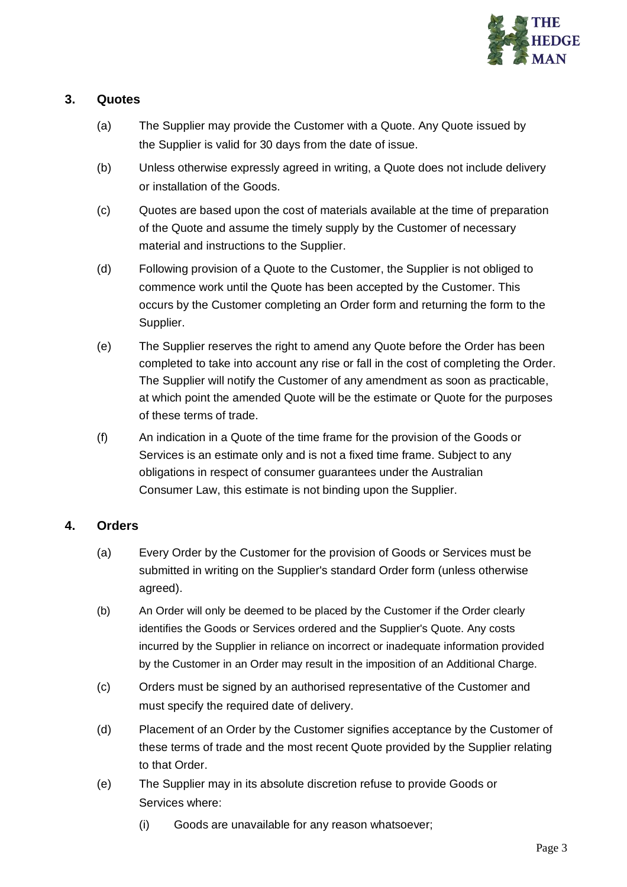

## **3. Quotes**

- (a) The Supplier may provide the Customer with a Quote. Any Quote issued by the Supplier is valid for 30 days from the date of issue.
- (b) Unless otherwise expressly agreed in writing, a Quote does not include delivery or installation of the Goods.
- (c) Quotes are based upon the cost of materials available at the time of preparation of the Quote and assume the timely supply by the Customer of necessary material and instructions to the Supplier.
- (d) Following provision of a Quote to the Customer, the Supplier is not obliged to commence work until the Quote has been accepted by the Customer. This occurs by the Customer completing an Order form and returning the form to the Supplier.
- (e) The Supplier reserves the right to amend any Quote before the Order has been completed to take into account any rise or fall in the cost of completing the Order. The Supplier will notify the Customer of any amendment as soon as practicable, at which point the amended Quote will be the estimate or Quote for the purposes of these terms of trade.
- (f) An indication in a Quote of the time frame for the provision of the Goods or Services is an estimate only and is not a fixed time frame. Subject to any obligations in respect of consumer guarantees under the Australian Consumer Law, this estimate is not binding upon the Supplier.

### **4. Orders**

- (a) Every Order by the Customer for the provision of Goods or Services must be submitted in writing on the Supplier's standard Order form (unless otherwise agreed).
- (b) An Order will only be deemed to be placed by the Customer if the Order clearly identifies the Goods or Services ordered and the Supplier's Quote. Any costs incurred by the Supplier in reliance on incorrect or inadequate information provided by the Customer in an Order may result in the imposition of an Additional Charge.
- (c) Orders must be signed by an authorised representative of the Customer and must specify the required date of delivery.
- (d) Placement of an Order by the Customer signifies acceptance by the Customer of these terms of trade and the most recent Quote provided by the Supplier relating to that Order.
- (e) The Supplier may in its absolute discretion refuse to provide Goods or Services where:
	- (i) Goods are unavailable for any reason whatsoever;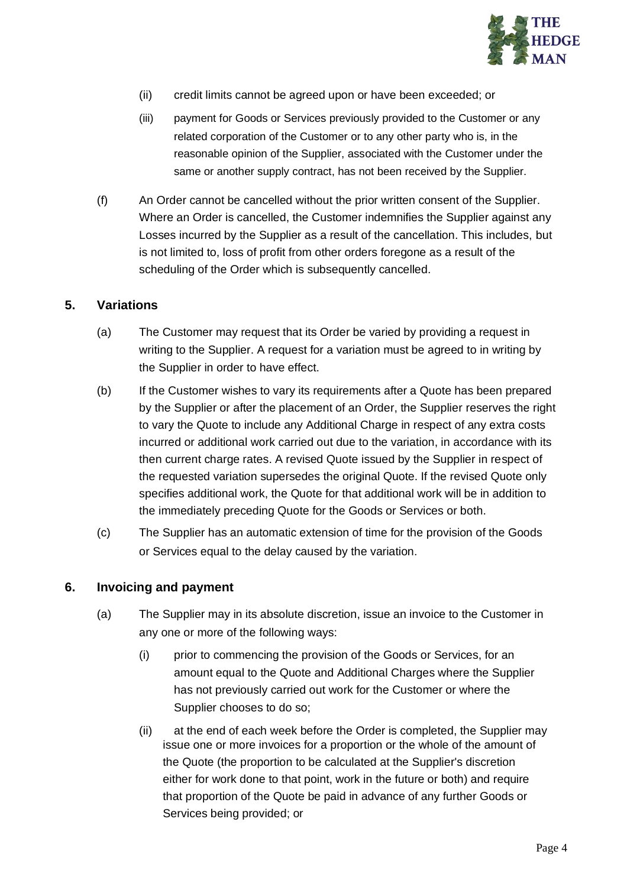

- (ii) credit limits cannot be agreed upon or have been exceeded; or
- (iii) payment for Goods or Services previously provided to the Customer or any related corporation of the Customer or to any other party who is, in the reasonable opinion of the Supplier, associated with the Customer under the same or another supply contract, has not been received by the Supplier.
- (f) An Order cannot be cancelled without the prior written consent of the Supplier. Where an Order is cancelled, the Customer indemnifies the Supplier against any Losses incurred by the Supplier as a result of the cancellation. This includes, but is not limited to, loss of profit from other orders foregone as a result of the scheduling of the Order which is subsequently cancelled.

#### **5. Variations**

- (a) The Customer may request that its Order be varied by providing a request in writing to the Supplier. A request for a variation must be agreed to in writing by the Supplier in order to have effect.
- (b) If the Customer wishes to vary its requirements after a Quote has been prepared by the Supplier or after the placement of an Order, the Supplier reserves the right to vary the Quote to include any Additional Charge in respect of any extra costs incurred or additional work carried out due to the variation, in accordance with its then current charge rates. A revised Quote issued by the Supplier in respect of the requested variation supersedes the original Quote. If the revised Quote only specifies additional work, the Quote for that additional work will be in addition to the immediately preceding Quote for the Goods or Services or both.
- (c) The Supplier has an automatic extension of time for the provision of the Goods or Services equal to the delay caused by the variation.

#### **6. Invoicing and payment**

- (a) The Supplier may in its absolute discretion, issue an invoice to the Customer in any one or more of the following ways:
	- (i) prior to commencing the provision of the Goods or Services, for an amount equal to the Quote and Additional Charges where the Supplier has not previously carried out work for the Customer or where the Supplier chooses to do so;
	- (ii) at the end of each week before the Order is completed, the Supplier may issue one or more invoices for a proportion or the whole of the amount of the Quote (the proportion to be calculated at the Supplier's discretion either for work done to that point, work in the future or both) and require that proportion of the Quote be paid in advance of any further Goods or Services being provided; or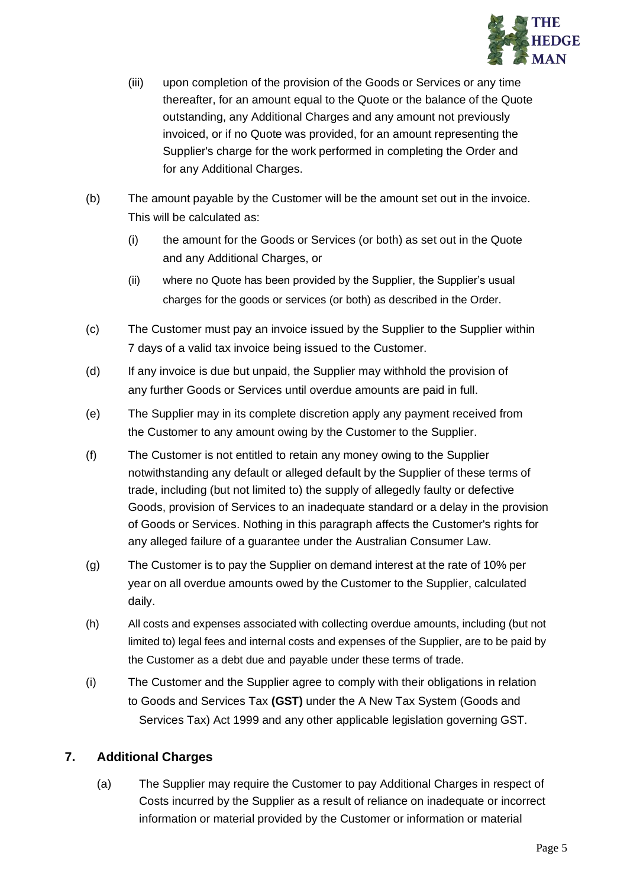

- (iii) upon completion of the provision of the Goods or Services or any time thereafter, for an amount equal to the Quote or the balance of the Quote outstanding, any Additional Charges and any amount not previously invoiced, or if no Quote was provided, for an amount representing the Supplier's charge for the work performed in completing the Order and for any Additional Charges.
- (b) The amount payable by the Customer will be the amount set out in the invoice. This will be calculated as:
	- (i) the amount for the Goods or Services (or both) as set out in the Quote and any Additional Charges, or
	- (ii) where no Quote has been provided by the Supplier, the Supplier's usual charges for the goods or services (or both) as described in the Order.
- (c) The Customer must pay an invoice issued by the Supplier to the Supplier within 7 days of a valid tax invoice being issued to the Customer.
- (d) If any invoice is due but unpaid, the Supplier may withhold the provision of any further Goods or Services until overdue amounts are paid in full.
- (e) The Supplier may in its complete discretion apply any payment received from the Customer to any amount owing by the Customer to the Supplier.
- (f) The Customer is not entitled to retain any money owing to the Supplier notwithstanding any default or alleged default by the Supplier of these terms of trade, including (but not limited to) the supply of allegedly faulty or defective Goods, provision of Services to an inadequate standard or a delay in the provision of Goods or Services. Nothing in this paragraph affects the Customer's rights for any alleged failure of a guarantee under the Australian Consumer Law.
- (g) The Customer is to pay the Supplier on demand interest at the rate of 10% per year on all overdue amounts owed by the Customer to the Supplier, calculated daily.
- (h) All costs and expenses associated with collecting overdue amounts, including (but not limited to) legal fees and internal costs and expenses of the Supplier, are to be paid by the Customer as a debt due and payable under these terms of trade.
- (i) The Customer and the Supplier agree to comply with their obligations in relation to Goods and Services Tax **(GST)** under the A New Tax System (Goods and Services Tax) Act 1999 and any other applicable legislation governing GST.

## **7. Additional Charges**

(a) The Supplier may require the Customer to pay Additional Charges in respect of Costs incurred by the Supplier as a result of reliance on inadequate or incorrect information or material provided by the Customer or information or material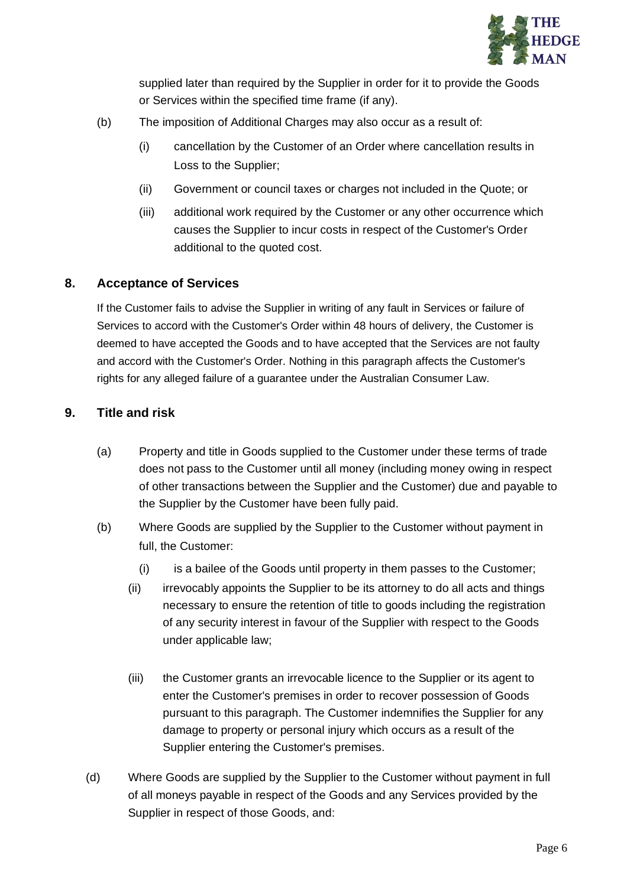

supplied later than required by the Supplier in order for it to provide the Goods or Services within the specified time frame (if any).

- (b) The imposition of Additional Charges may also occur as a result of:
	- (i) cancellation by the Customer of an Order where cancellation results in Loss to the Supplier;
	- (ii) Government or council taxes or charges not included in the Quote; or
	- (iii) additional work required by the Customer or any other occurrence which causes the Supplier to incur costs in respect of the Customer's Order additional to the quoted cost.

### **8. Acceptance of Services**

If the Customer fails to advise the Supplier in writing of any fault in Services or failure of Services to accord with the Customer's Order within 48 hours of delivery, the Customer is deemed to have accepted the Goods and to have accepted that the Services are not faulty and accord with the Customer's Order. Nothing in this paragraph affects the Customer's rights for any alleged failure of a guarantee under the Australian Consumer Law.

#### **9. Title and risk**

- (a) Property and title in Goods supplied to the Customer under these terms of trade does not pass to the Customer until all money (including money owing in respect of other transactions between the Supplier and the Customer) due and payable to the Supplier by the Customer have been fully paid.
- (b) Where Goods are supplied by the Supplier to the Customer without payment in full, the Customer:
	- (i) is a bailee of the Goods until property in them passes to the Customer;
	- (ii) irrevocably appoints the Supplier to be its attorney to do all acts and things necessary to ensure the retention of title to goods including the registration of any security interest in favour of the Supplier with respect to the Goods under applicable law;
	- (iii) the Customer grants an irrevocable licence to the Supplier or its agent to enter the Customer's premises in order to recover possession of Goods pursuant to this paragraph. The Customer indemnifies the Supplier for any damage to property or personal injury which occurs as a result of the Supplier entering the Customer's premises.
- (d) Where Goods are supplied by the Supplier to the Customer without payment in full of all moneys payable in respect of the Goods and any Services provided by the Supplier in respect of those Goods, and: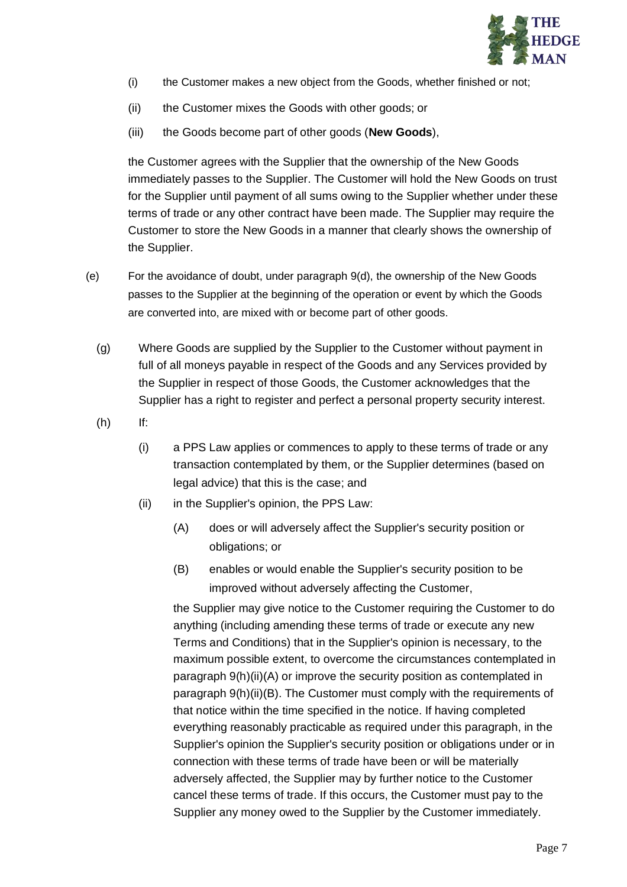

- (i) the Customer makes a new object from the Goods, whether finished or not;
- (ii) the Customer mixes the Goods with other goods; or
- (iii) the Goods become part of other goods (**New Goods**),

the Customer agrees with the Supplier that the ownership of the New Goods immediately passes to the Supplier. The Customer will hold the New Goods on trust for the Supplier until payment of all sums owing to the Supplier whether under these terms of trade or any other contract have been made. The Supplier may require the Customer to store the New Goods in a manner that clearly shows the ownership of the Supplier.

- (e) For the avoidance of doubt, under paragraph 9(d), the ownership of the New Goods passes to the Supplier at the beginning of the operation or event by which the Goods are converted into, are mixed with or become part of other goods.
	- (g) Where Goods are supplied by the Supplier to the Customer without payment in full of all moneys payable in respect of the Goods and any Services provided by the Supplier in respect of those Goods, the Customer acknowledges that the Supplier has a right to register and perfect a personal property security interest.
	- (h) If:
		- (i) a PPS Law applies or commences to apply to these terms of trade or any transaction contemplated by them, or the Supplier determines (based on legal advice) that this is the case; and
		- (ii) in the Supplier's opinion, the PPS Law:
			- (A) does or will adversely affect the Supplier's security position or obligations; or
			- (B) enables or would enable the Supplier's security position to be improved without adversely affecting the Customer,

the Supplier may give notice to the Customer requiring the Customer to do anything (including amending these terms of trade or execute any new Terms and Conditions) that in the Supplier's opinion is necessary, to the maximum possible extent, to overcome the circumstances contemplated in paragraph 9(h)(ii)(A) or improve the security position as contemplated in paragraph 9(h)(ii)(B). The Customer must comply with the requirements of that notice within the time specified in the notice. If having completed everything reasonably practicable as required under this paragraph, in the Supplier's opinion the Supplier's security position or obligations under or in connection with these terms of trade have been or will be materially adversely affected, the Supplier may by further notice to the Customer cancel these terms of trade. If this occurs, the Customer must pay to the Supplier any money owed to the Supplier by the Customer immediately.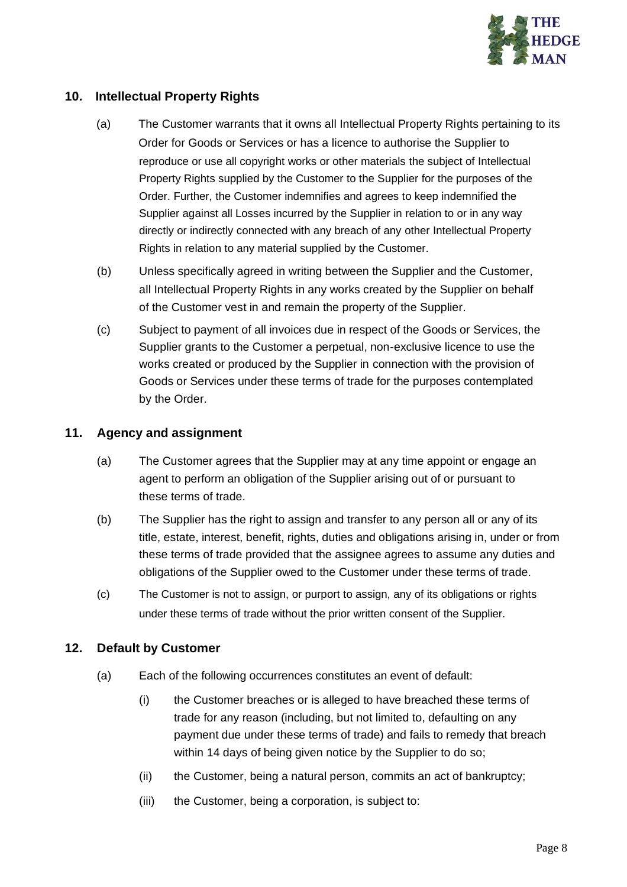

## **10. Intellectual Property Rights**

- (a) The Customer warrants that it owns all Intellectual Property Rights pertaining to its Order for Goods or Services or has a licence to authorise the Supplier to reproduce or use all copyright works or other materials the subject of Intellectual Property Rights supplied by the Customer to the Supplier for the purposes of the Order. Further, the Customer indemnifies and agrees to keep indemnified the Supplier against all Losses incurred by the Supplier in relation to or in any way directly or indirectly connected with any breach of any other Intellectual Property Rights in relation to any material supplied by the Customer.
- (b) Unless specifically agreed in writing between the Supplier and the Customer, all Intellectual Property Rights in any works created by the Supplier on behalf of the Customer vest in and remain the property of the Supplier.
- (c) Subject to payment of all invoices due in respect of the Goods or Services, the Supplier grants to the Customer a perpetual, non-exclusive licence to use the works created or produced by the Supplier in connection with the provision of Goods or Services under these terms of trade for the purposes contemplated by the Order.

#### **11. Agency and assignment**

- (a) The Customer agrees that the Supplier may at any time appoint or engage an agent to perform an obligation of the Supplier arising out of or pursuant to these terms of trade.
- (b) The Supplier has the right to assign and transfer to any person all or any of its title, estate, interest, benefit, rights, duties and obligations arising in, under or from these terms of trade provided that the assignee agrees to assume any duties and obligations of the Supplier owed to the Customer under these terms of trade.
- (c) The Customer is not to assign, or purport to assign, any of its obligations or rights under these terms of trade without the prior written consent of the Supplier.

### **12. Default by Customer**

- (a) Each of the following occurrences constitutes an event of default:
	- (i) the Customer breaches or is alleged to have breached these terms of trade for any reason (including, but not limited to, defaulting on any payment due under these terms of trade) and fails to remedy that breach within 14 days of being given notice by the Supplier to do so;
	- (ii) the Customer, being a natural person, commits an act of bankruptcy;
	- (iii) the Customer, being a corporation, is subject to: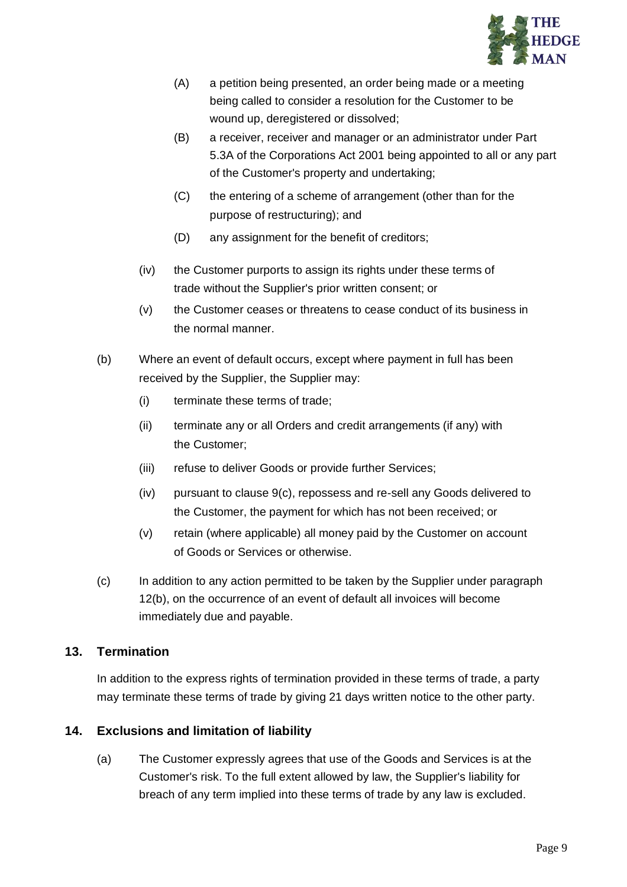

- (A) a petition being presented, an order being made or a meeting being called to consider a resolution for the Customer to be wound up, deregistered or dissolved;
- (B) a receiver, receiver and manager or an administrator under Part 5.3A of the Corporations Act 2001 being appointed to all or any part of the Customer's property and undertaking;
- (C) the entering of a scheme of arrangement (other than for the purpose of restructuring); and
- (D) any assignment for the benefit of creditors;
- (iv) the Customer purports to assign its rights under these terms of trade without the Supplier's prior written consent; or
- (v) the Customer ceases or threatens to cease conduct of its business in the normal manner.
- (b) Where an event of default occurs, except where payment in full has been received by the Supplier, the Supplier may:
	- (i) terminate these terms of trade;
	- (ii) terminate any or all Orders and credit arrangements (if any) with the Customer;
	- (iii) refuse to deliver Goods or provide further Services;
	- (iv) pursuant to clause 9(c), repossess and re-sell any Goods delivered to the Customer, the payment for which has not been received; or
	- (v) retain (where applicable) all money paid by the Customer on account of Goods or Services or otherwise.
- (c) In addition to any action permitted to be taken by the Supplier under paragraph 12(b), on the occurrence of an event of default all invoices will become immediately due and payable.

## **13. Termination**

In addition to the express rights of termination provided in these terms of trade, a party may terminate these terms of trade by giving 21 days written notice to the other party.

## **14. Exclusions and limitation of liability**

(a) The Customer expressly agrees that use of the Goods and Services is at the Customer's risk. To the full extent allowed by law, the Supplier's liability for breach of any term implied into these terms of trade by any law is excluded.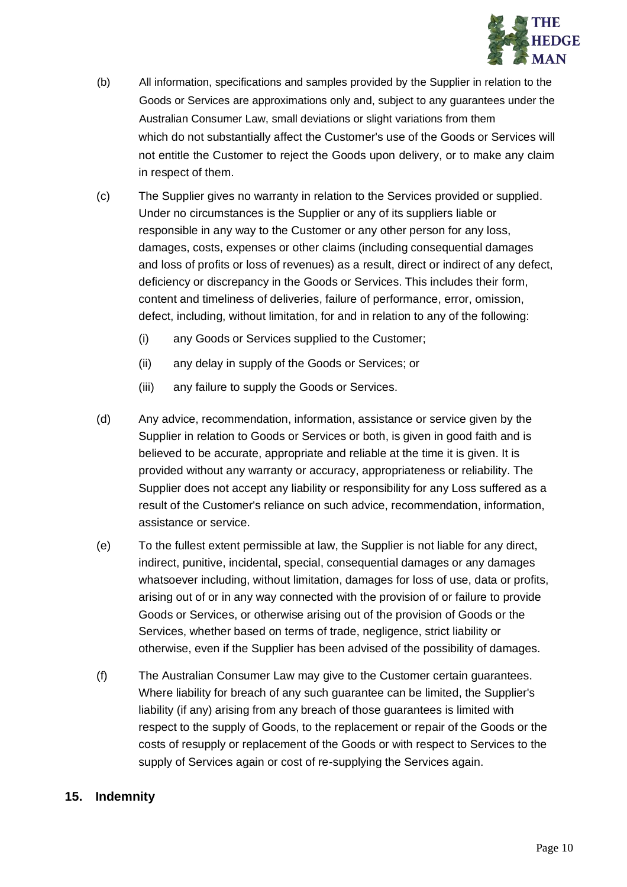

- (b) All information, specifications and samples provided by the Supplier in relation to the Goods or Services are approximations only and, subject to any guarantees under the Australian Consumer Law, small deviations or slight variations from them which do not substantially affect the Customer's use of the Goods or Services will not entitle the Customer to reject the Goods upon delivery, or to make any claim in respect of them.
- (c) The Supplier gives no warranty in relation to the Services provided or supplied. Under no circumstances is the Supplier or any of its suppliers liable or responsible in any way to the Customer or any other person for any loss, damages, costs, expenses or other claims (including consequential damages and loss of profits or loss of revenues) as a result, direct or indirect of any defect, deficiency or discrepancy in the Goods or Services. This includes their form, content and timeliness of deliveries, failure of performance, error, omission, defect, including, without limitation, for and in relation to any of the following:
	- (i) any Goods or Services supplied to the Customer;
	- (ii) any delay in supply of the Goods or Services; or
	- (iii) any failure to supply the Goods or Services.
- (d) Any advice, recommendation, information, assistance or service given by the Supplier in relation to Goods or Services or both, is given in good faith and is believed to be accurate, appropriate and reliable at the time it is given. It is provided without any warranty or accuracy, appropriateness or reliability. The Supplier does not accept any liability or responsibility for any Loss suffered as a result of the Customer's reliance on such advice, recommendation, information, assistance or service.
- (e) To the fullest extent permissible at law, the Supplier is not liable for any direct, indirect, punitive, incidental, special, consequential damages or any damages whatsoever including, without limitation, damages for loss of use, data or profits, arising out of or in any way connected with the provision of or failure to provide Goods or Services, or otherwise arising out of the provision of Goods or the Services, whether based on terms of trade, negligence, strict liability or otherwise, even if the Supplier has been advised of the possibility of damages.
- (f) The Australian Consumer Law may give to the Customer certain guarantees. Where liability for breach of any such guarantee can be limited, the Supplier's liability (if any) arising from any breach of those guarantees is limited with respect to the supply of Goods, to the replacement or repair of the Goods or the costs of resupply or replacement of the Goods or with respect to Services to the supply of Services again or cost of re-supplying the Services again.

#### **15. Indemnity**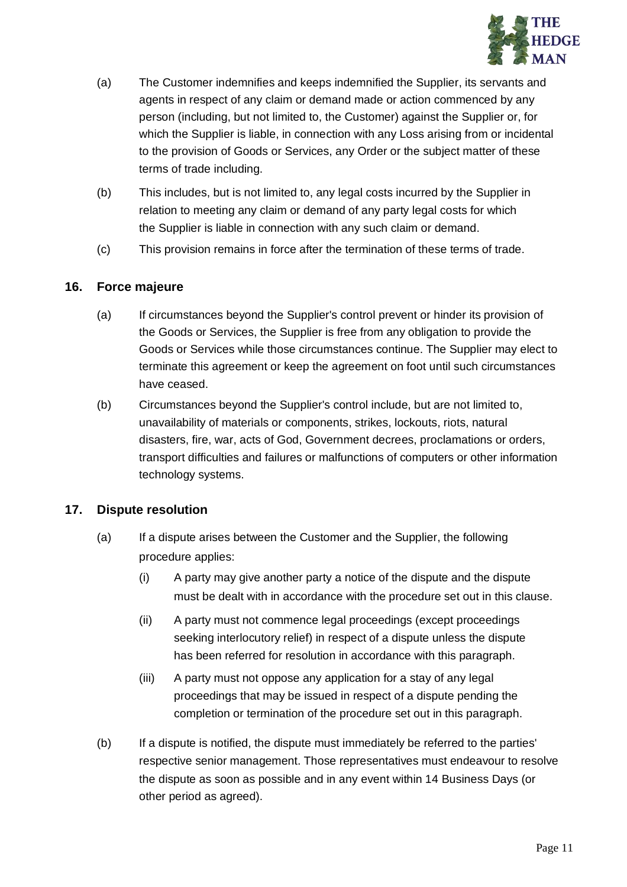

- (a) The Customer indemnifies and keeps indemnified the Supplier, its servants and agents in respect of any claim or demand made or action commenced by any person (including, but not limited to, the Customer) against the Supplier or, for which the Supplier is liable, in connection with any Loss arising from or incidental to the provision of Goods or Services, any Order or the subject matter of these terms of trade including.
- (b) This includes, but is not limited to, any legal costs incurred by the Supplier in relation to meeting any claim or demand of any party legal costs for which the Supplier is liable in connection with any such claim or demand.
- (c) This provision remains in force after the termination of these terms of trade.

### **16. Force majeure**

- (a) If circumstances beyond the Supplier's control prevent or hinder its provision of the Goods or Services, the Supplier is free from any obligation to provide the Goods or Services while those circumstances continue. The Supplier may elect to terminate this agreement or keep the agreement on foot until such circumstances have ceased.
- (b) Circumstances beyond the Supplier's control include, but are not limited to, unavailability of materials or components, strikes, lockouts, riots, natural disasters, fire, war, acts of God, Government decrees, proclamations or orders, transport difficulties and failures or malfunctions of computers or other information technology systems.

### **17. Dispute resolution**

- (a) If a dispute arises between the Customer and the Supplier, the following procedure applies:
	- (i) A party may give another party a notice of the dispute and the dispute must be dealt with in accordance with the procedure set out in this clause.
	- (ii) A party must not commence legal proceedings (except proceedings seeking interlocutory relief) in respect of a dispute unless the dispute has been referred for resolution in accordance with this paragraph.
	- (iii) A party must not oppose any application for a stay of any legal proceedings that may be issued in respect of a dispute pending the completion or termination of the procedure set out in this paragraph.
- (b) If a dispute is notified, the dispute must immediately be referred to the parties' respective senior management. Those representatives must endeavour to resolve the dispute as soon as possible and in any event within 14 Business Days (or other period as agreed).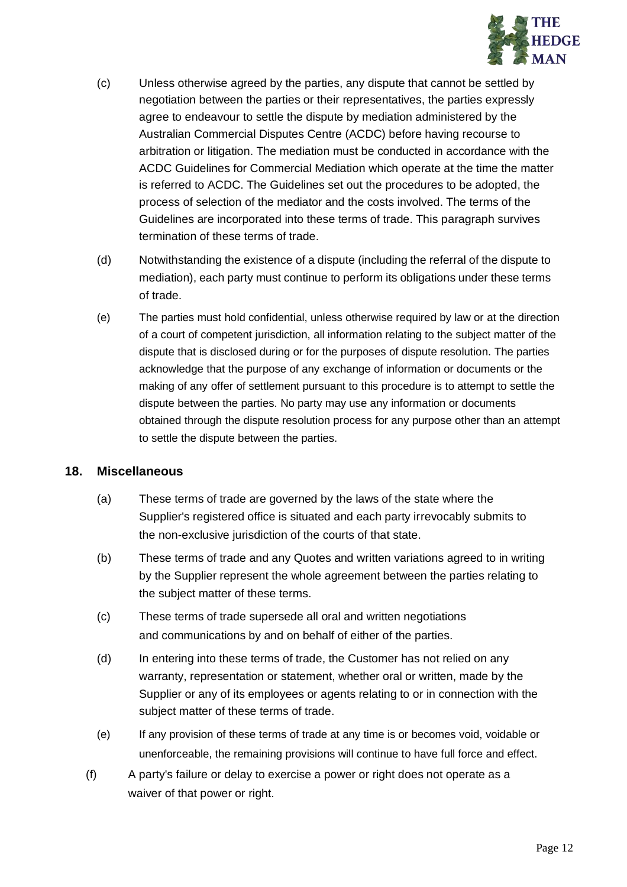

- (c) Unless otherwise agreed by the parties, any dispute that cannot be settled by negotiation between the parties or their representatives, the parties expressly agree to endeavour to settle the dispute by mediation administered by the Australian Commercial Disputes Centre (ACDC) before having recourse to arbitration or litigation. The mediation must be conducted in accordance with the ACDC Guidelines for Commercial Mediation which operate at the time the matter is referred to ACDC. The Guidelines set out the procedures to be adopted, the process of selection of the mediator and the costs involved. The terms of the Guidelines are incorporated into these terms of trade. This paragraph survives termination of these terms of trade.
- (d) Notwithstanding the existence of a dispute (including the referral of the dispute to mediation), each party must continue to perform its obligations under these terms of trade.
- (e) The parties must hold confidential, unless otherwise required by law or at the direction of a court of competent jurisdiction, all information relating to the subject matter of the dispute that is disclosed during or for the purposes of dispute resolution. The parties acknowledge that the purpose of any exchange of information or documents or the making of any offer of settlement pursuant to this procedure is to attempt to settle the dispute between the parties. No party may use any information or documents obtained through the dispute resolution process for any purpose other than an attempt to settle the dispute between the parties.

### **18. Miscellaneous**

- (a) These terms of trade are governed by the laws of the state where the Supplier's registered office is situated and each party irrevocably submits to the non-exclusive jurisdiction of the courts of that state.
- (b) These terms of trade and any Quotes and written variations agreed to in writing by the Supplier represent the whole agreement between the parties relating to the subject matter of these terms.
- (c) These terms of trade supersede all oral and written negotiations and communications by and on behalf of either of the parties.
- (d) In entering into these terms of trade, the Customer has not relied on any warranty, representation or statement, whether oral or written, made by the Supplier or any of its employees or agents relating to or in connection with the subject matter of these terms of trade.
- (e) If any provision of these terms of trade at any time is or becomes void, voidable or unenforceable, the remaining provisions will continue to have full force and effect.
- (f) A party's failure or delay to exercise a power or right does not operate as a waiver of that power or right.